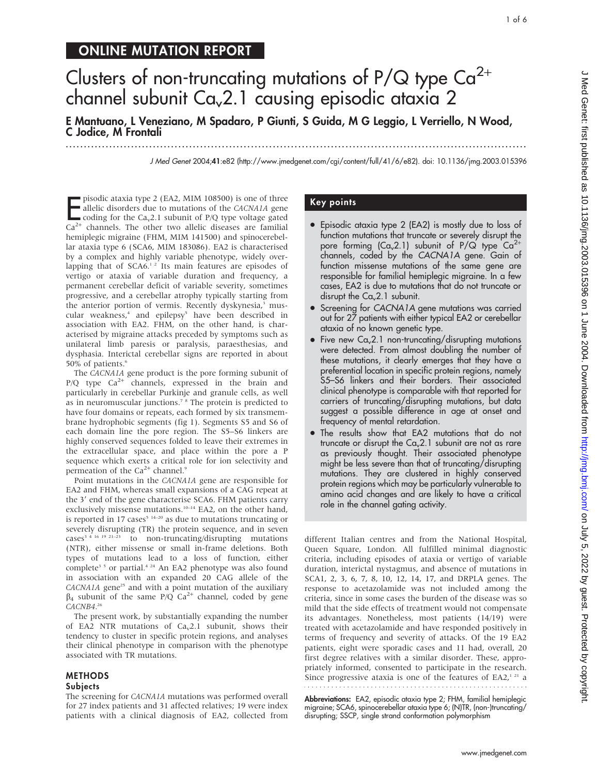# ONLINE MUTATION REPORT

# Clusters of non-truncating mutations of  $P/Q$  type  $Ca^{2+}$ channel subunit  $Ca<sub>v</sub>2.1$  causing episodic ataxia 2

E Mantuano, L Veneziano, M Spadaro, P Giunti, S Guida, M G Leggio, L Verriello, N Wood, C Jodice, M Frontali

...............................................................................................................................

J Med Genet 2004;41:e82 (http://www.jmedgenet.com/cgi/content/full/41/6/e82). doi: 10.1136/jmg.2003.015396

**EXECUTE:** PISODIC ataxia type 2 (EA2, MIM 108500) is one of three allelic disorders due to mutations of the *CACNA1A* gene coding for the  $Ca_v2.1$  subunit of P/Q type voltage gated  $Ca^{2+}$  channels. The other two allelic pisodic ataxia type 2 (EA2, MIM 108500) is one of three allelic disorders due to mutations of the CACNA1A gene coding for the  $Ca<sub>v</sub>2.1$  subunit of P/Q type voltage gated hemiplegic migraine (FHM, MIM 141500) and spinocerebellar ataxia type 6 (SCA6, MIM 183086). EA2 is characterised by a complex and highly variable phenotype, widely overlapping that of  $SCA6<sup>12</sup>$  Its main features are episodes of vertigo or ataxia of variable duration and frequency, a permanent cerebellar deficit of variable severity, sometimes progressive, and a cerebellar atrophy typically starting from the anterior portion of vermis. Recently dyskynesia,<sup>3</sup> muscular weakness,<sup>4</sup> and epilepsy<sup>5</sup> have been described in association with EA2. FHM, on the other hand, is characterised by migraine attacks preceded by symptoms such as unilateral limb paresis or paralysis, paraesthesias, and dysphasia. Interictal cerebellar signs are reported in about 50% of patients.<sup>6</sup>

The CACNA1A gene product is the pore forming subunit of  $P/Q$  type  $Ca^{2+}$  channels, expressed in the brain and particularly in cerebellar Purkinje and granule cells, as well as in neuromuscular junctions.<sup>7</sup><sup>8</sup> The protein is predicted to have four domains or repeats, each formed by six transmembrane hydrophobic segments (fig 1). Segments S5 and S6 of each domain line the pore region. The S5–S6 linkers are highly conserved sequences folded to leave their extremes in the extracellular space, and place within the pore a P sequence which exerts a critical role for ion selectivity and permeation of the  $Ca^{2+}$  channel.<sup>9</sup>

Point mutations in the CACNA1A gene are responsible for EA2 and FHM, whereas small expansions of a CAG repeat at the 3' end of the gene characterise SCA6. FHM patients carry exclusively missense mutations.<sup>10-14</sup> EA2, on the other hand, is reported in 17 cases<sup> $5-14-20$ </sup> as due to mutations truncating or severely disrupting (TR) the protein sequence, and in seven  $cases^{3/4-16-19-21-23}$  to non-truncating/disrupting mutations (NTR), either missense or small in-frame deletions. Both types of mutations lead to a loss of function, either complete<sup>3 5</sup> or partial.<sup>4 24</sup> An EA2 phenotype was also found in association with an expanded 20 CAG allele of the CACNA1A gene<sup>25</sup> and with a point mutation of the auxiliary  $\beta_4$  subunit of the same P/Q Ca<sup>2+</sup> channel, coded by gene CACNB4. 26

The present work, by substantially expanding the number of EA2 NTR mutations of  $Ca<sub>v</sub>2.1$  subunit, shows their tendency to cluster in specific protein regions, and analyses their clinical phenotype in comparison with the phenotype associated with TR mutations.

#### **METHODS** Subjects

The screening for CACNA1A mutations was performed overall for 27 index patients and 31 affected relatives; 19 were index patients with a clinical diagnosis of EA2, collected from

## Key points

- Episodic ataxia type 2 (EA2) is mostly due to loss of function mutations that truncate or severely disrupt the pore forming  $(Ca<sub>v</sub>2.1)$  subunit of P/Q type  $Ca<sup>2+</sup>$ channels, coded by the CACNA1A gene. Gain of function missense mutations of the same gene are responsible for familial hemiplegic migraine. In a few cases, EA2 is due to mutations that do not truncate or disrupt the  $Ca<sub>v</sub>2.1$  subunit.
- Screening for CACNA1A gene mutations was carried out for 27 patients with either typical EA2 or cerebellar ataxia of no known genetic type.
- Five new  $Ca<sub>v</sub>2.1$  non-truncating/disrupting mutations were detected. From almost doubling the number of these mutations, it clearly emerges that they have a preferential location in specific protein regions, namely S5–S6 linkers and their borders. Their associated clinical phenotype is comparable with that reported for carriers of truncating/disrupting mutations, but data suggest a possible difference in age at onset and frequency of mental retardation.
- The results show that EA2 mutations that do not truncate or disrupt the  $Ca<sub>v</sub>2.1$  subunit are not as rare as previously thought. Their associated phenotype might be less severe than that of truncating/disrupting mutations. They are clustered in highly conserved protein regions which may be particularly vulnerable to amino acid changes and are likely to have a critical role in the channel gating activity.

different Italian centres and from the National Hospital, Queen Square, London. All fulfilled minimal diagnostic criteria, including episodes of ataxia or vertigo of variable duration, interictal nystagmus, and absence of mutations in SCA1, 2, 3, 6, 7, 8, 10, 12, 14, 17, and DRPLA genes. The response to acetazolamide was not included among the criteria, since in some cases the burden of the disease was so mild that the side effects of treatment would not compensate its advantages. Nonetheless, most patients (14/19) were treated with acetazolamide and have responded positively in terms of frequency and severity of attacks. Of the 19 EA2 patients, eight were sporadic cases and 11 had, overall, 20 first degree relatives with a similar disorder. These, appropriately informed, consented to participate in the research. Since progressive ataxia is one of the features of  $E A2$ ,<sup>121</sup> a 

Abbreviations: EA2, episodic ataxia type 2; FHM, familial hemiplegic migraine; SCA6, spinocerebellar ataxia type 6; (N)TR, (non-)truncating/ disrupting; SSCP, single strand conformation polymorphism

1 of 6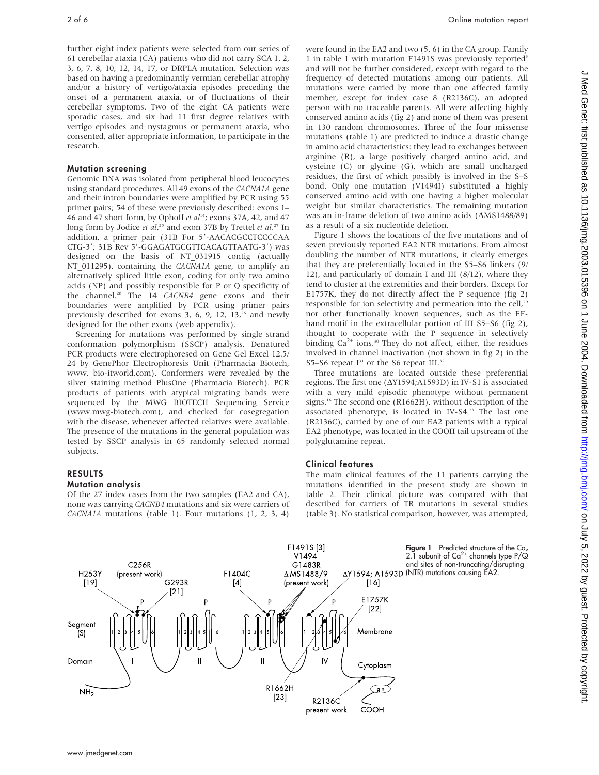further eight index patients were selected from our series of 61 cerebellar ataxia (CA) patients who did not carry SCA 1, 2, 3, 6, 7, 8, 10, 12, 14, 17, or DRPLA mutation. Selection was based on having a predominantly vermian cerebellar atrophy and/or a history of vertigo/ataxia episodes preceding the onset of a permanent ataxia, or of fluctuations of their cerebellar symptoms. Two of the eight CA patients were sporadic cases, and six had 11 first degree relatives with vertigo episodes and nystagmus or permanent ataxia, who consented, after appropriate information, to participate in the research.

#### Mutation screening

Genomic DNA was isolated from peripheral blood leucocytes using standard procedures. All 49 exons of the CACNA1A gene and their intron boundaries were amplified by PCR using 55 primer pairs; 54 of these were previously described: exons 1– 46 and 47 short form, by Ophoff et al<sup>14</sup>; exons 37A, 42, and 47 long form by Jodice et al,<sup>25</sup> and exon 37B by Trettel et al.<sup>27</sup> In addition, a primer pair (31B For 5'-AACACGCCTCCCCAA CTG-3'; 31B Rev 5'-GGAGATGCGTTCACAGTTAATG-3') was designed on the basis of NT\_031915 contig (actually NT 011295), containing the CACNA1A gene, to amplify an alternatively spliced little exon, coding for only two amino acids (NP) and possibly responsible for P or Q specificity of the channel.<sup>28</sup> The 14 CACNB4 gene exons and their boundaries were amplified by PCR using primer pairs previously described for exons  $3, 6, 9, 12, 13<sup>26</sup>$  and newly designed for the other exons (web appendix).

Screening for mutations was performed by single strand conformation polymorphism (SSCP) analysis. Denatured PCR products were electrophoresed on Gene Gel Excel 12.5/ 24 by GenePhor Electrophoresis Unit (Pharmacia Biotech, www. bio-itworld.com). Conformers were revealed by the silver staining method PlusOne (Pharmacia Biotech). PCR products of patients with atypical migrating bands were sequenced by the MWG BIOTECH Sequencing Service (www.mwg-biotech.com), and checked for cosegregation with the disease, whenever affected relatives were available. The presence of the mutations in the general population was tested by SSCP analysis in 65 randomly selected normal subjects.

# RESULTS

#### Mutation analysis

Of the 27 index cases from the two samples (EA2 and CA), none was carrying CACNB4 mutations and six were carriers of CACNA1A mutations (table 1). Four mutations (1, 2, 3, 4)

were found in the EA2 and two (5, 6) in the CA group. Family 1 in table 1 with mutation F1491S was previously reported<sup>3</sup> and will not be further considered, except with regard to the frequency of detected mutations among our patients. All mutations were carried by more than one affected family member, except for index case 8 (R2136C), an adopted person with no traceable parents. All were affecting highly conserved amino acids (fig 2) and none of them was present in 130 random chromosomes. Three of the four missense mutations (table 1) are predicted to induce a drastic change in amino acid characteristics: they lead to exchanges between arginine (R), a large positively charged amino acid, and cysteine (C) or glycine (G), which are small uncharged residues, the first of which possibly is involved in the S–S bond. Only one mutation (V1494I) substituted a highly conserved amino acid with one having a higher molecular weight but similar characteristics. The remaining mutation was an in-frame deletion of two amino acids  $(AMS1488/89)$ as a result of a six nucleotide deletion.

Figure 1 shows the locations of the five mutations and of seven previously reported EA2 NTR mutations. From almost doubling the number of NTR mutations, it clearly emerges that they are preferentially located in the S5–S6 linkers (9/ 12), and particularly of domain I and III (8/12), where they tend to cluster at the extremities and their borders. Except for E1757K, they do not directly affect the P sequence (fig 2) responsible for ion selectivity and permeation into the cell,<sup>29</sup> nor other functionally known sequences, such as the EFhand motif in the extracellular portion of III S5–S6 (fig 2), thought to cooperate with the P sequence in selectively binding  $Ca^{2+}$  ions.<sup>30</sup> They do not affect, either, the residues involved in channel inactivation (not shown in fig 2) in the S5–S6 repeat  $I^{31}$  or the S6 repeat III.<sup>32</sup>

Three mutations are located outside these preferential regions. The first one ( $\Delta$ Y1594;A1593D) in IV-S1 is associated with a very mild episodic phenotype without permanent signs.<sup>16</sup> The second one (R1662H), without description of the associated phenotype, is located in IV-S4.<sup>23</sup> The last one (R2136C), carried by one of our EA2 patients with a typical EA2 phenotype, was located in the COOH tail upstream of the polyglutamine repeat.

#### Clinical features

The main clinical features of the 11 patients carrying the mutations identified in the present study are shown in table 2. Their clinical picture was compared with that described for carriers of TR mutations in several studies (table 3). No statistical comparison, however, was attempted,

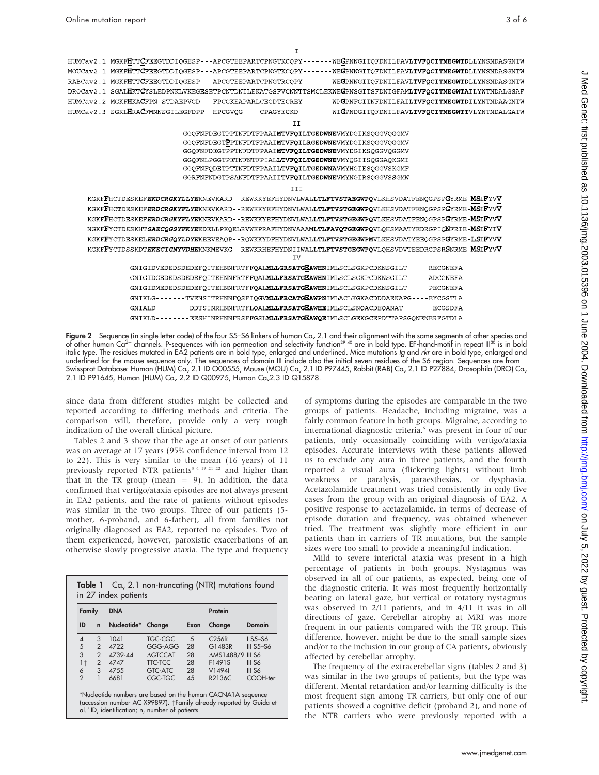$\mathbf I$ 

HUMCav2.1 MGKFHTTCFEEGTDDIQGESP---APCGTEEPARTCPNGTKCQPY-------WEGPNNGITQFDNILFAVLTVFQCITMEGWTDLLYNSNDASGNTW MOUCav2.1 MGKFHTTCFEEGTDDIQGESP---APCGTEEPARTCPNGTKCQPY-------WEGPNNGITQFDNILFAVLTVFQCITMEGWTDLLYNSNDASGNTW RABCav2.1 MGKFHTTCFEEGTDDIQGESP---APCGTEEPARTCPNGTRCQPY-------WEGPNNGITQFDNILFAVLTVFQCITMEGWTDLLYNSNDASGNTW DROCav2.1 SGALHKTCYSLEDPNKLVKEGESETPCNTDNILEKATGSFVCNNTTSMCLEKWEGPNSGITSFDNIGFAMLTVFQCITMEGWTAILYWTNDALGSAF HUMCav2.2 MGKFHKACFPN-STDAEPVGD---FPCGKEAPARLCEGDTECREY-------WPGPNFGITNFDNILFAILTVFQCITMEGWTDILYNTNDAAGNTW HUMCav2.3 SGKLHRACFMNNSGILEGFDPP--HPCGVQG----CPAGYECKD--------WIGPNDGITQFDNILFAVLTVFQCITMEGWTTVLYNTNDALGATW

II

GGQFNFDEGTPPTNFDTFPAAIMTVFQILTGEDWNEVMYDGIKSQGGVQGGMV GGQFNFDEGTPPTNFDTFPAAIMTVFQILRGEDWNEVMYDGIKSQGGVQGGMV GGQFNFDEGTPPTNFDTFPAAIMTVFQILTGEDWNEVMYDGIKSQGGVQGGMV GGQFNLPGGTPETNFNTFPIALLTVFQILTGEDWNEVMYQGIISQGGAQKGMI GGQFNFQDETPTTNFDTFPAAILTVFQILTGEDWNAVMYHGIESQGGVSKGMF GGRFNFNDGTPSANFDTFPAAIITVFQILTGEDWNEVMYNGIRSQGGVSSGMW

III

KGKFFHCTDESKEF**EKDCRGKYLLYE**KNEVKARD--REWKKYEFHYDNVLWAL**LTLFTVSTAEGWPQ**VLKHSVDATFENQGPSP**G**YRME-**MS**IFYV**V** KGKFFHCTDESKEFERDCRGKYFLYEKNEVKARD--REWKKYEFHYDNVLWALLTLFTVSTGEGWPQVLKHSVDATFENQGPSPGYRME-MSIFYVV KGKFFHCTDESKEFERDCRGKYFLYEKNEVKARD--REWKKYEFHYDNVLWALLTLFTVSTGEGWPQVLKHSVDATFENQGPSPGYRME-MSIFYVV NGKFFYCTDESKHTSAECQGSYFKYEEDELLPKQELRVWKPRAFHYDNVAAAMLTLFAVQTGEGWPQVLQHSMAATYEDRGPIQNFRIE-MSIFYIV KGKFFYCTDESKELERDCRGQYLDYEKEEVEAQP--RQWKKYDFHYDNVLWALLTLFTVSTGEGWPMVLKHSVDATYEEQGPSPGYRME-LSIFYVV KGKFFYCTDSSKDTEKECIGNYVDHEKNKMEVKG--REWKRHEFHYDNIIWALLTLFTVSTGEGWPQVLQHSVDVTEEDRGPSRSNRME-MSIFYVV **TV** 

> GNIGIDVEDEDSDEDEFQITEHNNFRTFFQALMLLGRSATGEAWHNIMLSCLSGKPCDKNSGILT-----RECGNEFA GNIGIDGEDEDSDEDEFQITEHNNFRTFFQALMLLFRSATGEAWHNIMLSCLSGKPCDKNSGILT-----ADCGNEFA GNIGIDMEDEDSDEDEFOITEHNNFRTFFOALMLLFRSATGEAWHNIMLSCLSGKPCDKNSGILT-----PECGNEFA GNIKLG-------TVENSITRHNNFQSFIQGVMLLFRCATGEAWPNIMLACLKGKACDDDAEKAPG----EYCGSTLA GNIALD--------DDTSINRHNNFRTFLQALMLLFRSATGEAWHEIMLSCLSNQACDEQANAT-------ECGSDFA GNIKLD--------EESHINRHNNFRSFFGSLMLLFRSATGEAWQEIMLSCLGEKGCEPDTTAPSGQNENERFGTDLA

Figure 2 Sequence (in single letter code) of the four S5–S6 linkers of human Cav 2.1 and their alignment with the same segments of other species and of other human Ca<sup>2+</sup> channels. P-sequences with ion permeation and selectivity function<sup>29 40</sup> are in bold type. EF-hand-motif in repeat III<sup>30</sup> is in bold italic type. The residues mutated in EA2 patients are in bold type, enlarged and underlined. Mice mutations tg and rkr are in bold type, enlarged and underlined for the mouse sequence only. The sequences of domain III include also the initial seven residues of the S6 region. Sequences are from Swissprot Database: Human (HUM) Ca<sub>v</sub> 2.1 ID O00555, Mouse (MOU) Ca<sub>v</sub> 2.1 ID P97445, Rabbit (RAB) Ca<sub>v</sub> 2.1 ID P27884, Drosophila (DRO) Ca<sub>v</sub> 2.1 ID P91645, Human (HUM) Ca., 2.2 ID Q00975, Human Ca., 2.3 ID Q15878.

since data from different studies might be collected and reported according to differing methods and criteria. The comparison will, therefore, provide only a very rough indication of the overall clinical picture.

Tables 2 and 3 show that the age at onset of our patients was on average at 17 years (95% confidence interval from 12 to 22). This is very similar to the mean (16 years) of 11 previously reported NTR patients<sup>3 4 19 21 22</sup> and higher than that in the TR group (mean  $= 9$ ). In addition, the data confirmed that vertigo/ataxia episodes are not always present in EA2 patients, and the rate of patients without episodes was similar in the two groups. Three of our patients (5 mother, 6-proband, and 6-father), all from families not originally diagnosed as EA2, reported no episodes. Two of them experienced, however, paroxistic exacerbations of an otherwise slowly progressive ataxia. The type and frequency

| Family         |                | <b>DNA</b>  |                | Protein |                   |                                      |  |
|----------------|----------------|-------------|----------------|---------|-------------------|--------------------------------------|--|
| ID             | n              | Nucleotide* | Change         | Exon    | Change            | Domain                               |  |
| 4              | 3              | 1041        | TGC-CGC        | 5       | C <sub>256R</sub> | $1$ S <sub>5</sub> -S <sub>6</sub>   |  |
| 5              | $\overline{2}$ | <b>4722</b> | GGG-AGG        | 28      | G1483R            | $III$ S <sub>5</sub> -S <sub>6</sub> |  |
| 3              | $\overline{2}$ | 4739-44     | <b>AGTCCAT</b> | 28      | AMS1488/9 III S6  |                                      |  |
| 1 <sub>†</sub> | $\overline{2}$ | 4747        | TTC-TCC        | 28      | F1491S            | III S6                               |  |
| 6              | 3              | 47.55       | GTC-ATC        | 28      | V1494I            | $III$ S6                             |  |
| $\mathcal{P}$  | 1              | 6681        | CGC-TGC        | 4.5     | R2136C            | COOH-ter                             |  |

of symptoms during the episodes are comparable in the two groups of patients. Headache, including migraine, was a fairly common feature in both groups. Migraine, according to international diagnostic criteria,<sup>6</sup> was present in four of our patients, only occasionally coinciding with vertigo/ataxia episodes. Accurate interviews with these patients allowed us to exclude any aura in three patients, and the fourth reported a visual aura (flickering lights) without limb weakness or paralysis, paraesthesias, or dysphasia. Acetazolamide treatment was tried consistently in only five cases from the group with an original diagnosis of EA2. A positive response to acetazolamide, in terms of decrease of episode duration and frequency, was obtained whenever tried. The treatment was slightly more efficient in our patients than in carriers of TR mutations, but the sample sizes were too small to provide a meaningful indication.

Mild to severe interictal ataxia was present in a high percentage of patients in both groups. Nystagmus was observed in all of our patients, as expected, being one of the diagnostic criteria. It was most frequently horizontally beating on lateral gaze, but vertical or rotatory nystagmus was observed in 2/11 patients, and in 4/11 it was in all directions of gaze. Cerebellar atrophy at MRI was more frequent in our patients compared with the TR group. This difference, however, might be due to the small sample sizes and/or to the inclusion in our group of CA patients, obviously affected by cerebellar atrophy.

The frequency of the extracerebellar signs (tables 2 and 3) was similar in the two groups of patients, but the type was different. Mental retardation and/or learning difficulty is the most frequent sign among TR carriers, but only one of our patients showed a cognitive deficit (proband 2), and none of the NTR carriers who were previously reported with a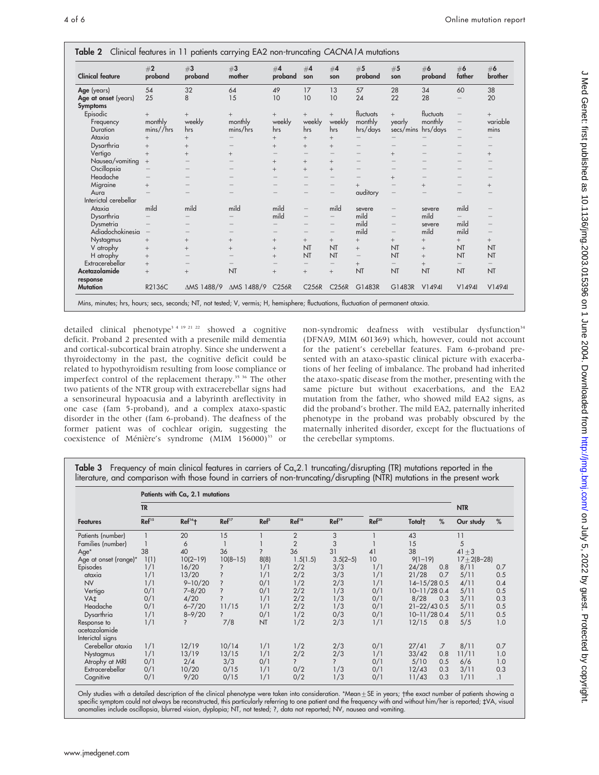| <b>Clinical feature</b>                 | #2<br>proband | #3<br>proband            | #3<br>mother | #4<br>proband            | #4<br>son                | #4<br>son                | #5<br>proband | #5<br>son                | #6<br>proband | #6<br>father             | #6<br>brother                   |
|-----------------------------------------|---------------|--------------------------|--------------|--------------------------|--------------------------|--------------------------|---------------|--------------------------|---------------|--------------------------|---------------------------------|
| Age (years)                             | 54            | 32                       | 64           | 49                       | 17                       | 13                       | 57            | 28                       | 34            | 60                       | 38                              |
| Age at onset (years)<br><b>Symptoms</b> | 25            | 8                        | 15           | 10                       | 10                       | 10                       | 24            | 22                       | 28            | $\overline{\phantom{0}}$ | 20                              |
| Episodic                                | $+$           | $^+$                     | $^{+}$       | $^{+}$                   | $+$                      | $^{+}$                   | fluctuats     | $^{+}$                   | fluctuats     | $\qquad \qquad -$        | $^{+}$                          |
| Frequency                               | monthly       | weekly                   | monthly      | weekly                   | weekly                   | weekly                   | monthly       | yearly                   | monthly       | $\overline{\phantom{m}}$ | variable                        |
| Duration                                | mins//hrs     | hrs                      | mins/hrs     | hrs                      | hrs                      | hrs                      | hrs/days      | secs/mins                | hrs/days      | $\qquad \qquad -$        | mins                            |
| Ataxia                                  | $^{+}$        | $^{+}$                   |              | $^{+}$                   | $^{+}$                   | $^{+}$                   |               |                          |               |                          |                                 |
| Dysarthria                              | $^{+}$        | $^{+}$                   |              | $^{+}$                   | $^{+}$                   | $^{+}$                   |               |                          |               |                          |                                 |
| Vertigo                                 | $^{+}$        | $^{+}$                   | $^{+}$       |                          | $\overline{\phantom{0}}$ |                          |               | $^{+}$                   |               |                          | $^{+}$                          |
| Nausea/vomiting                         | $^{+}$        |                          |              | $^{+}$                   | $+$                      | $^{+}$                   |               |                          |               |                          |                                 |
| Oscillopsia                             |               |                          |              | $^{+}$                   | $+$                      | $^{+}$                   |               |                          |               | -                        |                                 |
| Headache                                |               |                          |              |                          | $\overline{\phantom{0}}$ |                          |               | $^{+}$                   |               |                          |                                 |
| Migraine                                | $+$           |                          |              |                          | $\overline{\phantom{0}}$ | $\overline{\phantom{0}}$ | $^{+}$        | $\overline{\phantom{0}}$ | $^{+}$        | $\overline{\phantom{0}}$ | $^{+}$                          |
| Aura                                    |               |                          |              | $\overline{\phantom{0}}$ | $\overline{\phantom{0}}$ |                          | auditory      |                          |               |                          |                                 |
| Interictal cerebellar                   |               |                          |              |                          |                          |                          |               |                          |               |                          |                                 |
| Ataxia                                  | mild          | mild                     | mild         | mild                     | $\overline{\phantom{0}}$ | mild                     | severe        | $\overline{\phantom{0}}$ | severe        | mild                     | $\overline{\phantom{m}}$        |
| Dysarthria                              |               |                          |              | mild                     |                          | $-$                      | mild          |                          | mild          |                          |                                 |
| Dysmetria                               |               |                          |              |                          | $\overline{\phantom{0}}$ |                          | mild          |                          | severe        | mild                     |                                 |
| Adiadochokinesia                        |               |                          |              |                          |                          | $\overline{\phantom{0}}$ | mild          |                          | mild          | mild                     | $\hspace{0.1mm}-\hspace{0.1mm}$ |
| Nystagmus                               | $^{+}$        | $^{+}$                   | $^{+}$       | $^{+}$                   | $^{+}$                   | $^{+}$                   | $^{+}$        | $^{+}$                   | $^{+}$        | $^{+}$                   | $^{+}$                          |
| V atrophy                               | $^{+}$        | $^{+}$                   | $^{+}$       | $^{+}$                   | NT                       | NT                       | $^{+}$        | NT                       | $^{+}$        | NT                       | <b>NT</b>                       |
| H atrophy                               | $+$           |                          |              | $^{+}$                   | NT                       | NT                       |               | NT                       | $^{+}$        | NT                       | NT                              |
| Extracerebellar                         | $+$           | $\overline{\phantom{0}}$ |              |                          | $\qquad \qquad -$        | $\overline{\phantom{m}}$ | $^{+}$        | $\qquad \qquad -$        | $^{+}$        | $\qquad \qquad -$        | $\qquad \qquad -$               |
| Acetazolamide                           | $+$           | $^{+}$                   | NT           | $^{+}$                   | $^{+}$                   | $^{+}$                   | NT            | NT                       | NT            | NT                       | NT                              |
| response                                |               |                          |              |                          |                          |                          |               |                          |               |                          |                                 |
| <b>Mutation</b>                         | R2136C        | $\triangle MS$ 1488/9    | ∆MS 1488/9   | C256R                    | C256R                    | <b>C256R</b>             | G1483R        | G1483R                   | V1494I        | V1494                    | V1494                           |

detailed clinical phenotype<sup>3 4 19 21 22</sup> showed a cognitive deficit. Proband 2 presented with a presenile mild dementia and cortical-subcortical brain atrophy. Since she underwent a thyroidectomy in the past, the cognitive deficit could be related to hypothyroidism resulting from loose compliance or imperfect control of the replacement therapy.<sup>35 36</sup> The other two patients of the NTR group with extracerebellar signs had a sensorineural hypoacusia and a labyrinth areflectivity in one case (fam 5-proband), and a complex ataxo-spastic disorder in the other (fam 6-proband). The deafness of the former patient was of cochlear origin, suggesting the coexistence of Ménière's syndrome (MIM 156000)<sup>33</sup> or non-syndromic deafness with vestibular dysfunction<sup>34</sup> (DFNA9, MIM 601369) which, however, could not account for the patient's cerebellar features. Fam 6-proband presented with an ataxo-spastic clinical picture with exacerbations of her feeling of imbalance. The proband had inherited the ataxo-spatic disease from the mother, presenting with the same picture but without exacerbations, and the EA2 mutation from the father, who showed mild EA2 signs, as did the proband's brother. The mild EA2, paternally inherited phenotype in the proband was probably obscured by the maternally inherited disorder, except for the fluctuations of the cerebellar symptoms.

Table 3 Frequency of main clinical features in carriers of  $Ca<sub>x</sub>2.1$  truncating/disrupting (TR) mutations reported in the literature, and comparison with those found in carriers of non-truncating/disrupting (NTR) mutations in the present work

|                       | Patients with Ca <sub>v</sub> 2.1 mutations |                      |                          |                  |                   |                   |                   |                    |                |                    |     |
|-----------------------|---------------------------------------------|----------------------|--------------------------|------------------|-------------------|-------------------|-------------------|--------------------|----------------|--------------------|-----|
|                       | <b>TR</b>                                   |                      |                          |                  |                   |                   |                   |                    | <b>NTR</b>     |                    |     |
| <b>Features</b>       | Ref <sup>15</sup>                           | $Ref16$ <sup>+</sup> | Ref <sup>17</sup>        | $\mathbf{Ref}^5$ | Ref <sup>18</sup> | Ref <sup>19</sup> | Ref <sup>20</sup> | Total <sup>+</sup> | %              | Our study          | %   |
| Patients (number)     |                                             | 20                   | 15                       |                  | $\overline{2}$    | 3                 |                   | 43                 |                | 11                 |     |
| Families (number)     |                                             | 6                    |                          |                  | $\overline{2}$    | 3                 |                   | 15                 |                | 5                  |     |
| Age*                  | 38                                          | 40                   | 36                       | 2                | 36                | 31                | 41                | 38                 |                | $41 \pm 3$         |     |
| Age at onset (range)* | 1(1)                                        | $10(2-19)$           | $10(8-15)$               | 8(8)             | 1.5(1.5)          | $3.5(2-5)$        | 10 <sup>°</sup>   | $9(1-19)$          |                | $17 \pm 2(8 - 28)$ |     |
| Episodes              | 1/1                                         | 16/20                | ?                        | 1/1              | 2/2               | 3/3               | 1/1               | 24/28              | 0.8            | 8/11               | 0.7 |
| ataxia                | 1/1                                         | 13/20                |                          | 1/1              | 2/2               | 3/3               | 1/1               | 21/28              | 0.7            | 5/11               | 0.5 |
| <b>NV</b>             | 1/1                                         | $9 - 10/20$          | ?                        | 0/1              | 1/2               | 2/3               | 1/1               | $14 - 15/280.5$    |                | 4/11               | 0.4 |
| Vertigo               | 0/1                                         | $7 - 8/20$           | $\overline{\phantom{a}}$ | 0/1              | 2/2               | 1/3               | 0/1               | $10 - 11/280.4$    |                | 5/11               | 0.5 |
| VA <sub>‡</sub>       | 0/1                                         | 4/20                 | $\overline{\phantom{a}}$ | 1/1              | 2/2               | 1/3               | 0/1               | 8/28               | 0.3            | 3/11               | 0.3 |
| Headache              | 0/1                                         | $6 - 7/20$           | 11/15                    | 1/1              | 2/2               | 1/3               | 0/1               | $21 - 22 / 43 0.5$ |                | 5/11               | 0.5 |
| Dysarthria            | 1/1                                         | $8 - 9/20$           | 2                        | 0/1              | 1/2               | 0/3               | 0/1               | $10 - 11/280.4$    |                | 5/11               | 0.5 |
| Response to           | 1/1                                         | ?                    | 7/8                      | NT               | 1/2               | 2/3               | 1/1               | 12/15              | 0.8            | 5/5                | 1.0 |
| acetazolamide         |                                             |                      |                          |                  |                   |                   |                   |                    |                |                    |     |
| Interictal signs      |                                             |                      |                          |                  |                   |                   |                   |                    |                |                    |     |
| Cerebellar ataxia     | 1/1                                         | 12/19                | 10/14                    | 1/1              | 1/2               | 2/3               | 0/1               | 27/41              | $\overline{7}$ | 8/11               | 0.7 |
| Nystagmus             | 1/1                                         | 13/19                | 13/15                    | 1/1              | 2/2               | 2/3               | 1/1               | 33/42              | 0.8            | 11/11              | 1.0 |
| Atrophy at MRI        | 0/1                                         | 2/4                  | 3/3                      | 0/1              | $\overline{?}$    | ?                 | 0/1               | 5/10               | 0.5            | 6/6                | 1.0 |
| Extracerebellar       | 0/1                                         | 10/20                | 0/15                     | 1/1              | 0/2               | 1/3               | 0/1               | 12/43              | 0.3            | 3/11               | 0.3 |
| Cognitive             | 0/1                                         | 9/20                 | 0/15                     | 1/1              | 0/2               | 1/3               | 0/1               | 11/43              | 0.3            | 1/11               | .1  |

Only studies with a detailed description of the clinical phenotype were taken into consideration. \*Mean $\pm$ SE in years; †the exact number of patients showing a specific symptom could not always be reconstructed, this particularly referring to one patient and the frequency with and without him/her is reported; ‡VA, visual anomalies include oscillopsia, blurred vision, dyplopia; NT, not tested; ?, data not reported; NV, nausea and vomiting.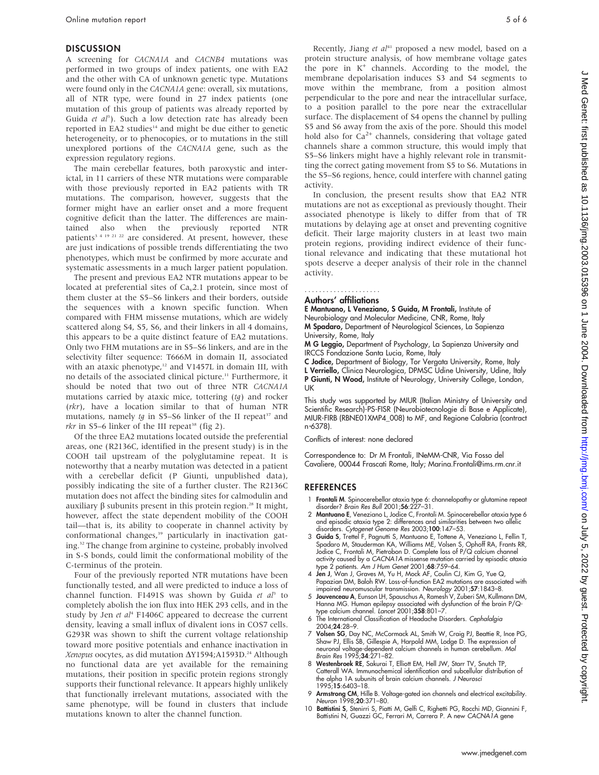#### **DISCUSSION**

A screening for CACNA1A and CACNB4 mutations was performed in two groups of index patients, one with EA2 and the other with CA of unknown genetic type. Mutations were found only in the CACNA1A gene: overall, six mutations, all of NTR type, were found in 27 index patients (one mutation of this group of patients was already reported by Guida et al<sup>3</sup>). Such a low detection rate has already been reported in EA2 studies<sup>14</sup> and might be due either to genetic heterogeneity, or to phenocopies, or to mutations in the still unexplored portions of the CACNA1A gene, such as the expression regulatory regions.

The main cerebellar features, both paroxystic and interictal, in 11 carriers of these NTR mutations were comparable with those previously reported in EA2 patients with TR mutations. The comparison, however, suggests that the former might have an earlier onset and a more frequent cognitive deficit than the latter. The differences are maintained also when the previously reported NTR patients<sup>3 4 19 21 22</sup> are considered. At present, however, these are just indications of possible trends differentiating the two phenotypes, which must be confirmed by more accurate and systematic assessments in a much larger patient population.

The present and previous EA2 NTR mutations appear to be located at preferential sites of  $Ca<sub>v</sub>2.1$  protein, since most of them cluster at the S5–S6 linkers and their borders, outside the sequences with a known specific function. When compared with FHM missense mutations, which are widely scattered along S4, S5, S6, and their linkers in all 4 domains, this appears to be a quite distinct feature of EA2 mutations. Only two FHM mutations are in S5–S6 linkers, and are in the selectivity filter sequence: T666M in domain II, associated with an ataxic phenotype,<sup>12</sup> and V1457L in domain III, with no details of the associated clinical picture.<sup>11</sup> Furthermore, it should be noted that two out of three NTR CACNA1A mutations carried by ataxic mice, tottering  $(tg)$  and rocker (rkr), have a location similar to that of human NTR mutations, namely  $tg$  in S5–S6 linker of the II repeat<sup>37</sup> and *rkr* in S5–6 linker of the III repeat<sup>38</sup> (fig 2).

Of the three EA2 mutations located outside the preferential areas, one (R2136C, identified in the present study) is in the COOH tail upstream of the polyglutamine repeat. It is noteworthy that a nearby mutation was detected in a patient with a cerebellar deficit (P Giunti, unpublished data), possibly indicating the site of a further cluster. The R2136C mutation does not affect the binding sites for calmodulin and auxiliary  $\beta$  subunits present in this protein region.<sup>28</sup> It might, however, affect the state dependent mobility of the COOH tail—that is, its ability to cooperate in channel activity by conformational changes,<sup>39</sup> particularly in inactivation gating.32 The change from arginine to cysteine, probably involved in S-S bonds, could limit the conformational mobility of the C-terminus of the protein.

Four of the previously reported NTR mutations have been functionally tested, and all were predicted to induce a loss of channel function. F1491S was shown by Guida et al<sup>3</sup> to completely abolish the ion flux into HEK 293 cells, and in the study by Jen et  $al<sup>4</sup>$  F1406C appeared to decrease the current density, leaving a small influx of divalent ions in COS7 cells. G293R was shown to shift the current voltage relationship toward more positive potentials and enhance inactivation in Xenopus oocytes, as did mutation  $\Delta$ Y1594;A1593D.<sup>24</sup> Although no functional data are yet available for the remaining mutations, their position in specific protein regions strongly supports their functional relevance. It appears highly unlikely that functionally irrelevant mutations, associated with the same phenotype, will be found in clusters that include mutations known to alter the channel function.

Recently, Jiang et  $al^{41}$  proposed a new model, based on a protein structure analysis, of how membrane voltage gates the pore in  $K^+$  channels. According to the model, the membrane depolarisation induces S3 and S4 segments to move within the membrane, from a position almost perpendicular to the pore and near the intracellular surface, to a position parallel to the pore near the extracellular surface. The displacement of S4 opens the channel by pulling S5 and S6 away from the axis of the pore. Should this model hold also for  $Ca^{2+}$  channels, considering that voltage gated channels share a common structure, this would imply that S5–S6 linkers might have a highly relevant role in transmitting the correct gating movement from S5 to S6. Mutations in the S5–S6 regions, hence, could interfere with channel gating activity.

In conclusion, the present results show that EA2 NTR mutations are not as exceptional as previously thought. Their associated phenotype is likely to differ from that of TR mutations by delaying age at onset and preventing cognitive deficit. Their large majority clusters in at least two main protein regions, providing indirect evidence of their functional relevance and indicating that these mutational hot spots deserve a deeper analysis of their role in the channel activity.

#### Authors' affiliations .....................

E Mantuano, L Veneziano, S Guida, M Frontali, Institute of Neurobiology and Molecular Medicine, CNR, Rome, Italy M Spadaro, Department of Neurological Sciences, La Sapienza

University, Rome, Italy

M G Leggio, Department of Psychology, La Sapienza University and IRCCS Fondazione Santa Lucia, Rome, Italy

C Jodice, Department of Biology, Tor Vergata University, Rome, Italy L Verriello, Clinica Neurologica, DPMSC Udine University, Udine, Italy P Giunti, N Wood, Institute of Neurology, University College, London, UK

This study was supported by MIUR (Italian Ministry of University and Scientific Research)-PS-FISR (Neurobiotecnologie di Base e Applicate), MIUR-FIRB (RBNE01XMP4\_008) to MF, and Regione Calabria (contract n˚ 6378).

Conflicts of interest: none declared

Correspondence to: Dr M Frontali, INeMM-CNR, Via Fosso del Cavaliere, 00044 Frascati Rome, Italy; Marina.Frontali@ims.rm.cnr.it

### **REFERENCES**

- 1 Frontali M. Spinocerebellar ataxia type 6: channelopathy or glutamine repeat disorder? Brain Res Bull 2001;56:227–31.
- 2 Mantuano E, Veneziano L, Jodice C, Frontali M. Spinocerebellar ataxia type 6 and episodic ataxia type 2: differences and similarities between two allelic disorders. Cytogenet Genome Res 2003;100:147–53.
- Guida S, Trettel F, Pagnutti S, Mantuano E, Tottene A, Veneziano L, Fellin T, Spadaro M, Stauderman KA, Williams ME, Volsen S, Ophoff RA, Frants RR, Jodice C, Frontali M, Pietrobon D. Complete loss of P/Q calcium channel activity caused by a CACNA1A missense mutation carried by episodic ataxia type 2 patients. Am J Hum Genet 2001;68:759–64.
- 4 Jen J, Wan J, Graves M, Yu H, Mock AF, Coulin CJ, Kim G, Yue Q, Papazian DM, Baloh RW. Loss-of-function EA2 mutations are associated with
- impaired neuromuscular transmission. Neurology 2001;57:1843–8. 5 Jouvenceau A, Eunson LH, Spauschus A, Ramesh V, Zuberi SM, Kullmann DM, Hanna MG. Human epilepsy associated with dysfunction of the brain P/Qtype calcium channel. Lancet 2001;358:801–7.
- 6 The International Classification of Headache Disorders. Cephalalgia 2004;24:28–9.
- 7 **Volsen SG**, Day NC, McCormack AL, Smith W, Craig PJ, Beattie R, Ince PG, Shav PJ, Ellis SB, Gillespie A, Harpold MM, Lodge D. The expression of neuronal voltage-dependent calcium channels in human cerebellum. *Mol* Brai
- 8 Westenbroek RE, Sakurai T, Elliott EM, Hell JW, Starr TV, Snutch TP, Catterall WA. Immunochemical identification and subcellular distribution of the alpha 1A subunits of brain calcium channels. J Neurosci 1995;15:6403–18.
- 9 Armstrong CM, Hille B. Voltage-gated ion channels and electrical excitability. Neuron 1998;20:371–80.
- 10 Battistini S, Stenirri S, Piatti M, Gelfi C, Righetti PG, Rocchi MD, Giannini F, Battistini N, Guazzi GC, Ferrari M, Carrera P. A new CACNA1A gene